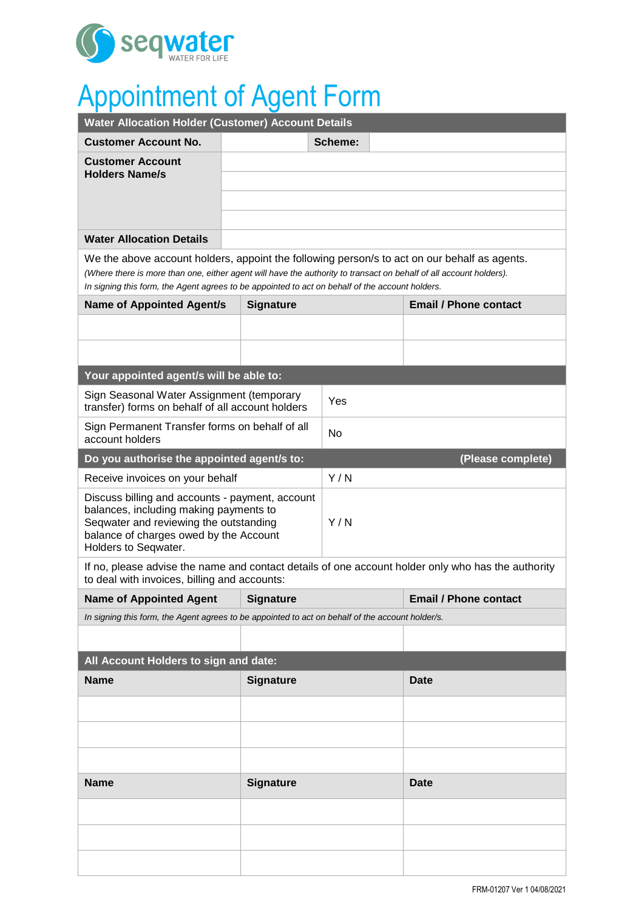

# Appointment of Agent Form

| <b>Water Allocation Holder (Customer) Account Details</b>                                                                                                                                                                                                                                                             |                  |           |                              |
|-----------------------------------------------------------------------------------------------------------------------------------------------------------------------------------------------------------------------------------------------------------------------------------------------------------------------|------------------|-----------|------------------------------|
| <b>Customer Account No.</b>                                                                                                                                                                                                                                                                                           |                  | Scheme:   |                              |
| <b>Customer Account</b>                                                                                                                                                                                                                                                                                               |                  |           |                              |
| <b>Holders Name/s</b>                                                                                                                                                                                                                                                                                                 |                  |           |                              |
|                                                                                                                                                                                                                                                                                                                       |                  |           |                              |
|                                                                                                                                                                                                                                                                                                                       |                  |           |                              |
| <b>Water Allocation Details</b>                                                                                                                                                                                                                                                                                       |                  |           |                              |
| We the above account holders, appoint the following person/s to act on our behalf as agents.<br>(Where there is more than one, either agent will have the authority to transact on behalf of all account holders).<br>In signing this form, the Agent agrees to be appointed to act on behalf of the account holders. |                  |           |                              |
| <b>Name of Appointed Agent/s</b>                                                                                                                                                                                                                                                                                      | <b>Signature</b> |           | <b>Email / Phone contact</b> |
|                                                                                                                                                                                                                                                                                                                       |                  |           |                              |
|                                                                                                                                                                                                                                                                                                                       |                  |           |                              |
|                                                                                                                                                                                                                                                                                                                       |                  |           |                              |
| Your appointed agent/s will be able to:                                                                                                                                                                                                                                                                               |                  |           |                              |
| Sign Seasonal Water Assignment (temporary<br>transfer) forms on behalf of all account holders                                                                                                                                                                                                                         |                  | Yes       |                              |
| Sign Permanent Transfer forms on behalf of all<br>account holders                                                                                                                                                                                                                                                     |                  | <b>No</b> |                              |
| Do you authorise the appointed agent/s to:<br>(Please complete)                                                                                                                                                                                                                                                       |                  |           |                              |
| Receive invoices on your behalf                                                                                                                                                                                                                                                                                       |                  | Y/N       |                              |
| Discuss billing and accounts - payment, account                                                                                                                                                                                                                                                                       |                  |           |                              |
| balances, including making payments to<br>Seqwater and reviewing the outstanding                                                                                                                                                                                                                                      |                  | Y/N       |                              |
| balance of charges owed by the Account<br>Holders to Seqwater.                                                                                                                                                                                                                                                        |                  |           |                              |
| If no, please advise the name and contact details of one account holder only who has the authority                                                                                                                                                                                                                    |                  |           |                              |
| to deal with invoices, billing and accounts:                                                                                                                                                                                                                                                                          |                  |           |                              |
| <b>Name of Appointed Agent</b>                                                                                                                                                                                                                                                                                        | <b>Signature</b> |           | <b>Email / Phone contact</b> |
| In signing this form, the Agent agrees to be appointed to act on behalf of the account holder/s.                                                                                                                                                                                                                      |                  |           |                              |
|                                                                                                                                                                                                                                                                                                                       |                  |           |                              |
| All Account Holders to sign and date:                                                                                                                                                                                                                                                                                 |                  |           |                              |
| <b>Name</b>                                                                                                                                                                                                                                                                                                           | <b>Signature</b> |           | <b>Date</b>                  |
|                                                                                                                                                                                                                                                                                                                       |                  |           |                              |
|                                                                                                                                                                                                                                                                                                                       |                  |           |                              |
|                                                                                                                                                                                                                                                                                                                       |                  |           |                              |
| <b>Name</b><br><b>Signature</b>                                                                                                                                                                                                                                                                                       |                  |           | <b>Date</b>                  |
|                                                                                                                                                                                                                                                                                                                       |                  |           |                              |
|                                                                                                                                                                                                                                                                                                                       |                  |           |                              |
|                                                                                                                                                                                                                                                                                                                       |                  |           |                              |
|                                                                                                                                                                                                                                                                                                                       |                  |           |                              |